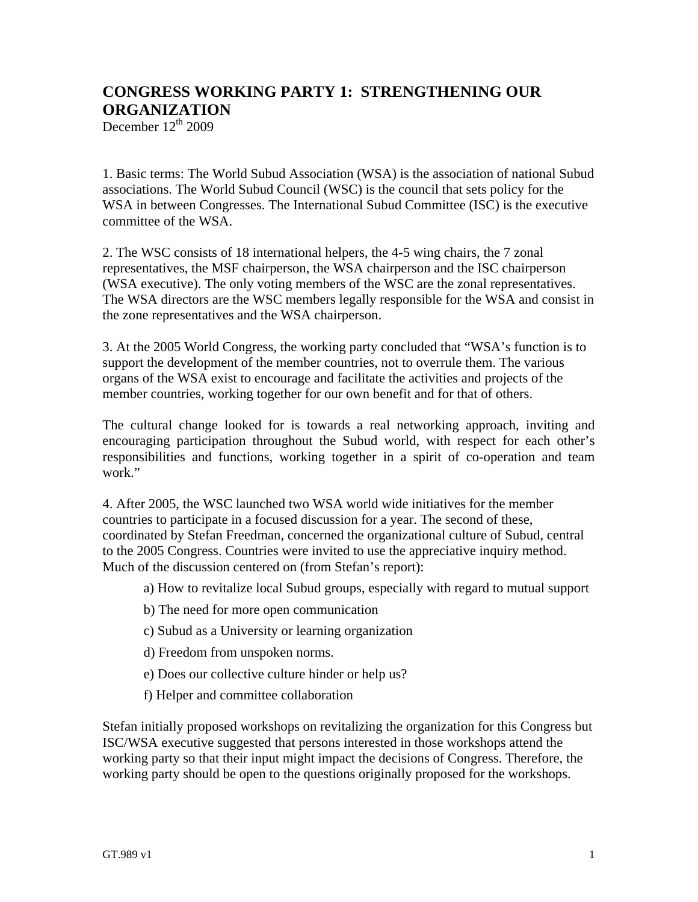## **CONGRESS WORKING PARTY 1: STRENGTHENING OUR ORGANIZATION**

December  $12<sup>th</sup> 2009$ 

1. Basic terms: The World Subud Association (WSA) is the association of national Subud associations. The World Subud Council (WSC) is the council that sets policy for the WSA in between Congresses. The International Subud Committee (ISC) is the executive committee of the WSA.

2. The WSC consists of 18 international helpers, the 4-5 wing chairs, the 7 zonal representatives, the MSF chairperson, the WSA chairperson and the ISC chairperson (WSA executive). The only voting members of the WSC are the zonal representatives. The WSA directors are the WSC members legally responsible for the WSA and consist in the zone representatives and the WSA chairperson.

3. At the 2005 World Congress, the working party concluded that "WSA's function is to support the development of the member countries, not to overrule them. The various organs of the WSA exist to encourage and facilitate the activities and projects of the member countries, working together for our own benefit and for that of others.

The cultural change looked for is towards a real networking approach, inviting and encouraging participation throughout the Subud world, with respect for each other's responsibilities and functions, working together in a spirit of co-operation and team work."

4. After 2005, the WSC launched two WSA world wide initiatives for the member countries to participate in a focused discussion for a year. The second of these, coordinated by Stefan Freedman, concerned the organizational culture of Subud, central to the 2005 Congress. Countries were invited to use the appreciative inquiry method. Much of the discussion centered on (from Stefan's report):

- a) How to revitalize local Subud groups, especially with regard to mutual support
- b) The need for more open communication
- c) Subud as a University or learning organization
- d) Freedom from unspoken norms.
- e) Does our collective culture hinder or help us?
- f) Helper and committee collaboration

Stefan initially proposed workshops on revitalizing the organization for this Congress but ISC/WSA executive suggested that persons interested in those workshops attend the working party so that their input might impact the decisions of Congress. Therefore, the working party should be open to the questions originally proposed for the workshops.